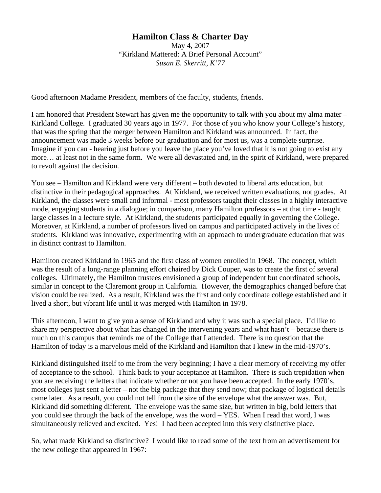## **Hamilton Class & Charter Day**

May 4, 2007 "Kirkland Mattered: A Brief Personal Account" *Susan E. Skerritt, K'77* 

Good afternoon Madame President, members of the faculty, students, friends.

I am honored that President Stewart has given me the opportunity to talk with you about my alma mater – Kirkland College. I graduated 30 years ago in 1977. For those of you who know your College's history, that was the spring that the merger between Hamilton and Kirkland was announced. In fact, the announcement was made 3 weeks before our graduation and for most us, was a complete surprise. Imagine if you can - hearing just before you leave the place you've loved that it is not going to exist any more… at least not in the same form. We were all devastated and, in the spirit of Kirkland, were prepared to revolt against the decision.

You see – Hamilton and Kirkland were very different – both devoted to liberal arts education, but distinctive in their pedagogical approaches. At Kirkland, we received written evaluations, not grades. At Kirkland, the classes were small and informal - most professors taught their classes in a highly interactive mode, engaging students in a dialogue; in comparison, many Hamilton professors – at that time - taught large classes in a lecture style. At Kirkland, the students participated equally in governing the College. Moreover, at Kirkland, a number of professors lived on campus and participated actively in the lives of students. Kirkland was innovative, experimenting with an approach to undergraduate education that was in distinct contrast to Hamilton.

Hamilton created Kirkland in 1965 and the first class of women enrolled in 1968. The concept, which was the result of a long-range planning effort chaired by Dick Couper, was to create the first of several colleges. Ultimately, the Hamilton trustees envisioned a group of independent but coordinated schools, similar in concept to the Claremont group in California. However, the demographics changed before that vision could be realized. As a result, Kirkland was the first and only coordinate college established and it lived a short, but vibrant life until it was merged with Hamilton in 1978.

This afternoon, I want to give you a sense of Kirkland and why it was such a special place. I'd like to share my perspective about what has changed in the intervening years and what hasn't – because there is much on this campus that reminds me of the College that I attended. There is no question that the Hamilton of today is a marvelous meld of the Kirkland and Hamilton that I knew in the mid-1970's.

Kirkland distinguished itself to me from the very beginning; I have a clear memory of receiving my offer of acceptance to the school. Think back to your acceptance at Hamilton. There is such trepidation when you are receiving the letters that indicate whether or not you have been accepted. In the early 1970's, most colleges just sent a letter – not the big package that they send now; that package of logistical details came later. As a result, you could not tell from the size of the envelope what the answer was. But, Kirkland did something different. The envelope was the same size, but written in big, bold letters that you could see through the back of the envelope, was the word – YES. When I read that word, I was simultaneously relieved and excited. Yes! I had been accepted into this very distinctive place.

So, what made Kirkland so distinctive? I would like to read some of the text from an advertisement for the new college that appeared in 1967: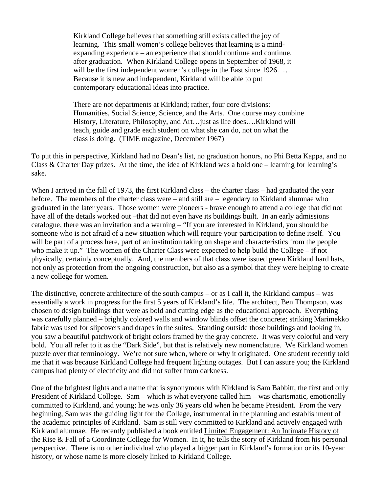Kirkland College believes that something still exists called the joy of learning. This small women's college believes that learning is a mindexpanding experience – an experience that should continue and continue, after graduation. When Kirkland College opens in September of 1968, it will be the first independent women's college in the East since 1926. ... Because it is new and independent, Kirkland will be able to put contemporary educational ideas into practice.

There are not departments at Kirkland; rather, four core divisions: Humanities, Social Science, Science, and the Arts. One course may combine History, Literature, Philosophy, and Art…just as life does….Kirkland will teach, guide and grade each student on what she can do, not on what the class is doing. (TIME magazine, December 1967)

To put this in perspective, Kirkland had no Dean's list, no graduation honors, no Phi Betta Kappa, and no Class & Charter Day prizes. At the time, the idea of Kirkland was a bold one – learning for learning's sake.

When I arrived in the fall of 1973, the first Kirkland class – the charter class – had graduated the year before. The members of the charter class were – and still are – legendary to Kirkland alumnae who graduated in the later years. Those women were pioneers - brave enough to attend a college that did not have all of the details worked out –that did not even have its buildings built. In an early admissions catalogue, there was an invitation and a warning – "If you are interested in Kirkland, you should be someone who is not afraid of a new situation which will require your participation to define itself. You will be part of a process here, part of an institution taking on shape and characteristics from the people who make it up." The women of the Charter Class were expected to help build the College – if not physically, certainly conceptually. And, the members of that class were issued green Kirkland hard hats, not only as protection from the ongoing construction, but also as a symbol that they were helping to create a new college for women.

The distinctive, concrete architecture of the south campus – or as I call it, the Kirkland campus – was essentially a work in progress for the first 5 years of Kirkland's life. The architect, Ben Thompson, was chosen to design buildings that were as bold and cutting edge as the educational approach. Everything was carefully planned – brightly colored walls and window blinds offset the concrete; striking Marimekko fabric was used for slipcovers and drapes in the suites. Standing outside those buildings and looking in, you saw a beautiful patchwork of bright colors framed by the gray concrete. It was very colorful and very bold. You all refer to it as the "Dark Side", but that is relatively new nomenclature. We Kirkland women puzzle over that terminology. We're not sure when, where or why it originated. One student recently told me that it was because Kirkland College had frequent lighting outages. But I can assure you; the Kirkland campus had plenty of electricity and did not suffer from darkness.

One of the brightest lights and a name that is synonymous with Kirkland is Sam Babbitt, the first and only President of Kirkland College. Sam – which is what everyone called him – was charismatic, emotionally committed to Kirkland, and young; he was only 36 years old when he became President. From the very beginning, Sam was the guiding light for the College, instrumental in the planning and establishment of the academic principles of Kirkland. Sam is still very committed to Kirkland and actively engaged with Kirkland alumnae. He recently published a book entitled Limited Engagement: An Intimate History of the Rise & Fall of a Coordinate College for Women. In it, he tells the story of Kirkland from his personal perspective. There is no other individual who played a bigger part in Kirkland's formation or its 10-year history, or whose name is more closely linked to Kirkland College.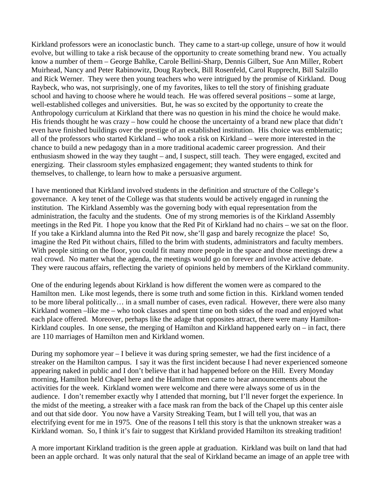Kirkland professors were an iconoclastic bunch. They came to a start-up college, unsure of how it would evolve, but willing to take a risk because of the opportunity to create something brand new. You actually know a number of them – George Bahlke, Carole Bellini-Sharp, Dennis Gilbert, Sue Ann Miller, Robert Muirhead, Nancy and Peter Rabinowitz, Doug Raybeck, Bill Rosenfeld, Carol Rupprecht, Bill Salzillo and Rick Werner. They were then young teachers who were intrigued by the promise of Kirkland. Doug Raybeck, who was, not surprisingly, one of my favorites, likes to tell the story of finishing graduate school and having to choose where he would teach. He was offered several positions – some at large, well-established colleges and universities. But, he was so excited by the opportunity to create the Anthropology curriculum at Kirkland that there was no question in his mind the choice he would make. His friends thought he was crazy – how could he choose the uncertainty of a brand new place that didn't even have finished buildings over the prestige of an established institution. His choice was emblematic; all of the professors who started Kirkland – who took a risk on Kirkland – were more interested in the chance to build a new pedagogy than in a more traditional academic career progression. And their enthusiasm showed in the way they taught – and, I suspect, still teach. They were engaged, excited and energizing. Their classroom styles emphasized engagement; they wanted students to think for themselves, to challenge, to learn how to make a persuasive argument.

I have mentioned that Kirkland involved students in the definition and structure of the College's governance. A key tenet of the College was that students would be actively engaged in running the institution. The Kirkland Assembly was the governing body with equal representation from the administration, the faculty and the students. One of my strong memories is of the Kirkland Assembly meetings in the Red Pit. I hope you know that the Red Pit of Kirkland had no chairs – we sat on the floor. If you take a Kirkland alumna into the Red Pit now, she'll gasp and barely recognize the place! So, imagine the Red Pit without chairs, filled to the brim with students, administrators and faculty members. With people sitting on the floor, you could fit many more people in the space and those meetings drew a real crowd. No matter what the agenda, the meetings would go on forever and involve active debate. They were raucous affairs, reflecting the variety of opinions held by members of the Kirkland community.

One of the enduring legends about Kirkland is how different the women were as compared to the Hamilton men. Like most legends, there is some truth and some fiction in this. Kirkland women tended to be more liberal politically… in a small number of cases, even radical. However, there were also many Kirkland women –like me – who took classes and spent time on both sides of the road and enjoyed what each place offered. Moreover, perhaps like the adage that opposites attract, there were many Hamilton-Kirkland couples. In one sense, the merging of Hamilton and Kirkland happened early on  $-$  in fact, there are 110 marriages of Hamilton men and Kirkland women.

During my sophomore year – I believe it was during spring semester, we had the first incidence of a streaker on the Hamilton campus. I say it was the first incident because I had never experienced someone appearing naked in public and I don't believe that it had happened before on the Hill. Every Monday morning, Hamilton held Chapel here and the Hamilton men came to hear announcements about the activities for the week. Kirkland women were welcome and there were always some of us in the audience. I don't remember exactly why I attended that morning, but I'll never forget the experience. In the midst of the meeting, a streaker with a face mask ran from the back of the Chapel up this center aisle and out that side door. You now have a Varsity Streaking Team, but I will tell you, that was an electrifying event for me in 1975. One of the reasons I tell this story is that the unknown streaker was a Kirkland woman. So, I think it's fair to suggest that Kirkland provided Hamilton its streaking tradition!

A more important Kirkland tradition is the green apple at graduation. Kirkland was built on land that had been an apple orchard. It was only natural that the seal of Kirkland became an image of an apple tree with